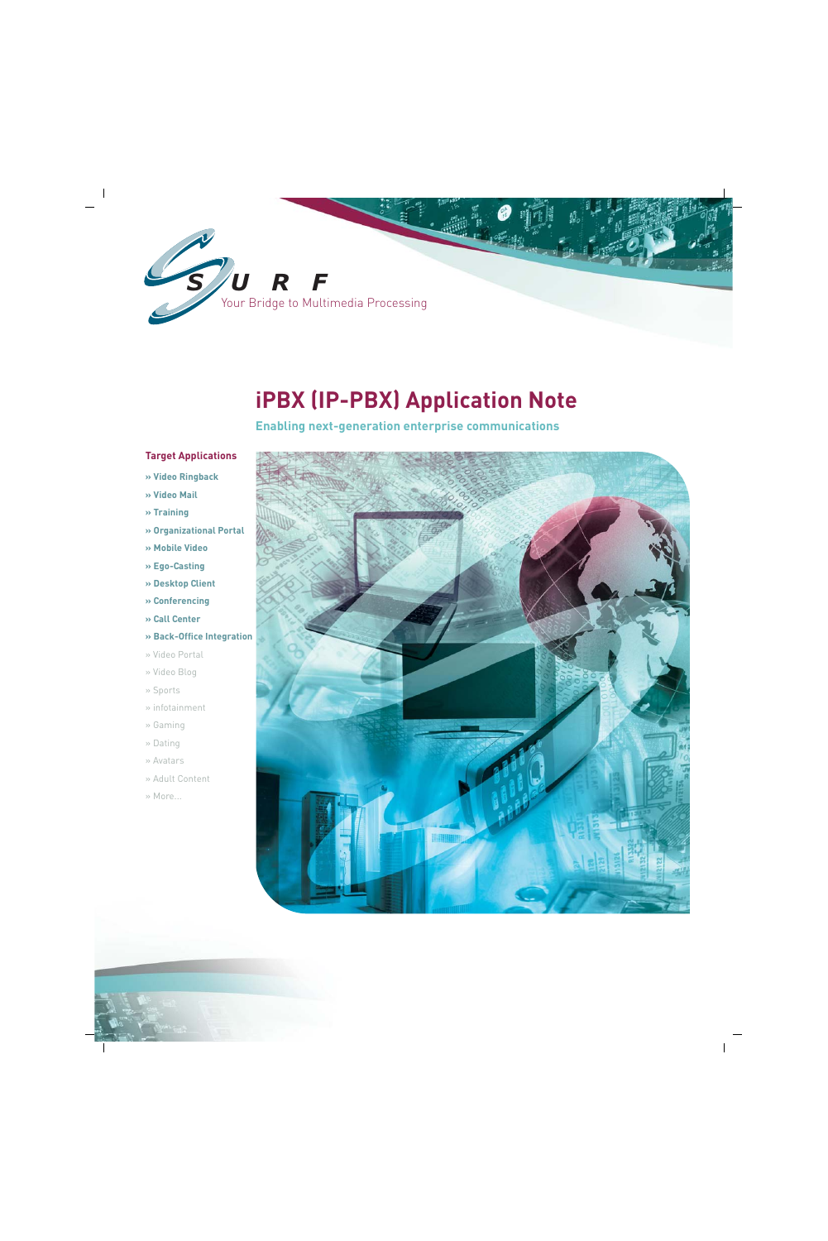

# **iPBX (IP-PBX) Application Note**

**Enabling next-generation enterprise communications**

### **Target Applications**

- **» Video Ringback**
- **» Video Mail**
- **» Training**
- **» Organizational Portal**
- **» Mobile Video**
- **» Ego-Casting**
- **» Desktop Client**
- **» Conferencing**
- **» Call Center**
- **» Back-Office Integration**
- » Video Portal
- » Video Blog
- » Sports
- » infotainment
- » Gaming
- » Dating
- » Avatars
- » Adult Content
- » More...

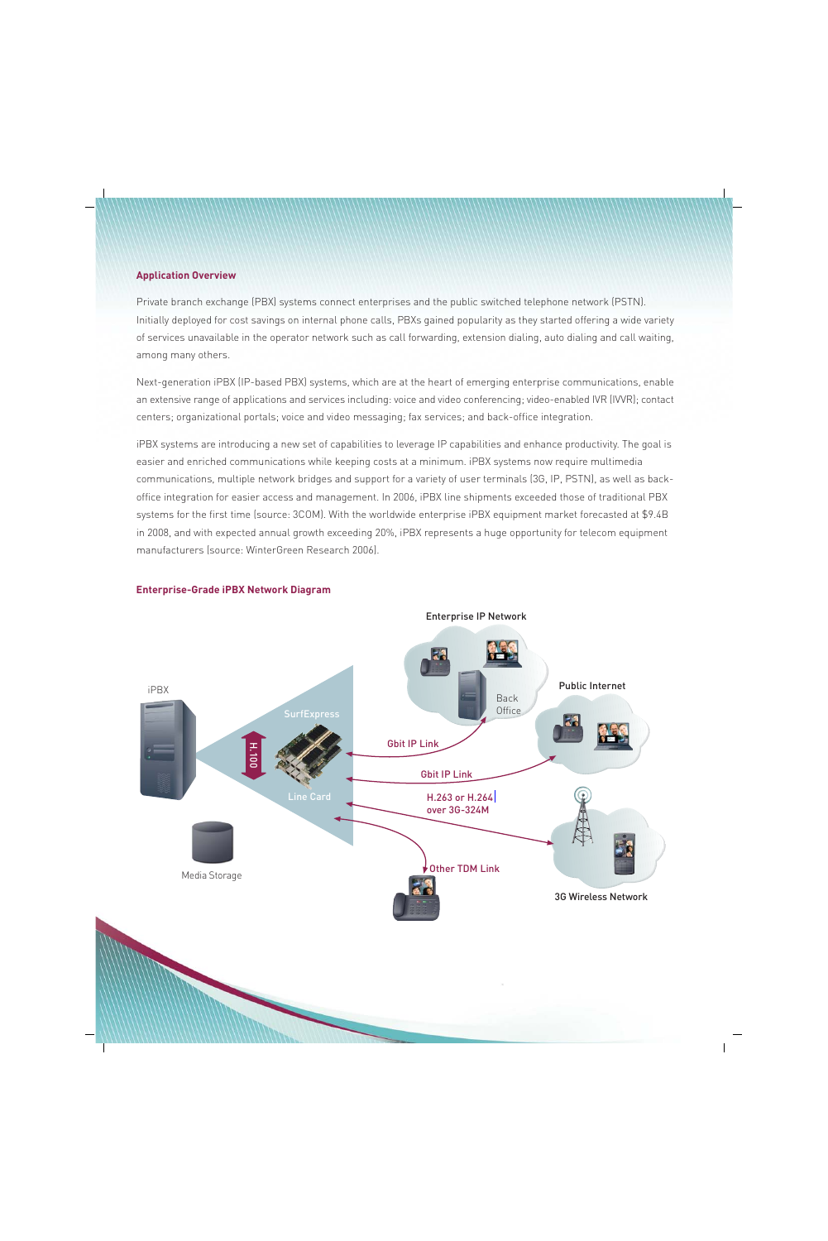#### **Application Overview**

Private branch exchange (PBX) systems connect enterprises and the public switched telephone network (PSTN). Initially deployed for cost savings on internal phone calls, PBXs gained popularity as they started offering a wide variety of services unavailable in the operator network such as call forwarding, extension dialing, auto dialing and call waiting, among many others.

Next-generation iPBX (IP-based PBX) systems, which are at the heart of emerging enterprise communications, enable an extensive range of applications and services including: voice and video conferencing; video-enabled IVR (IVVR); contact centers; organizational portals; voice and video messaging; fax services; and back-office integration.

iPBX systems are introducing a new set of capabilities to leverage IP capabilities and enhance productivity. The goal is easier and enriched communications while keeping costs at a minimum. iPBX systems now require multimedia communications, multiple network bridges and support for a variety of user terminals (3G, IP, PSTN), as well as backoffice integration for easier access and management. In 2006, iPBX line shipments exceeded those of traditional PBX systems for the first time (source: 3COM). With the worldwide enterprise iPBX equipment market forecasted at \$9.4B in 2008, and with expected annual growth exceeding 20%, iPBX represents a huge opportunity for telecom equipment manufacturers (source: WinterGreen Research 2006).



#### **Enterprise-Grade iPBX Network Diagram**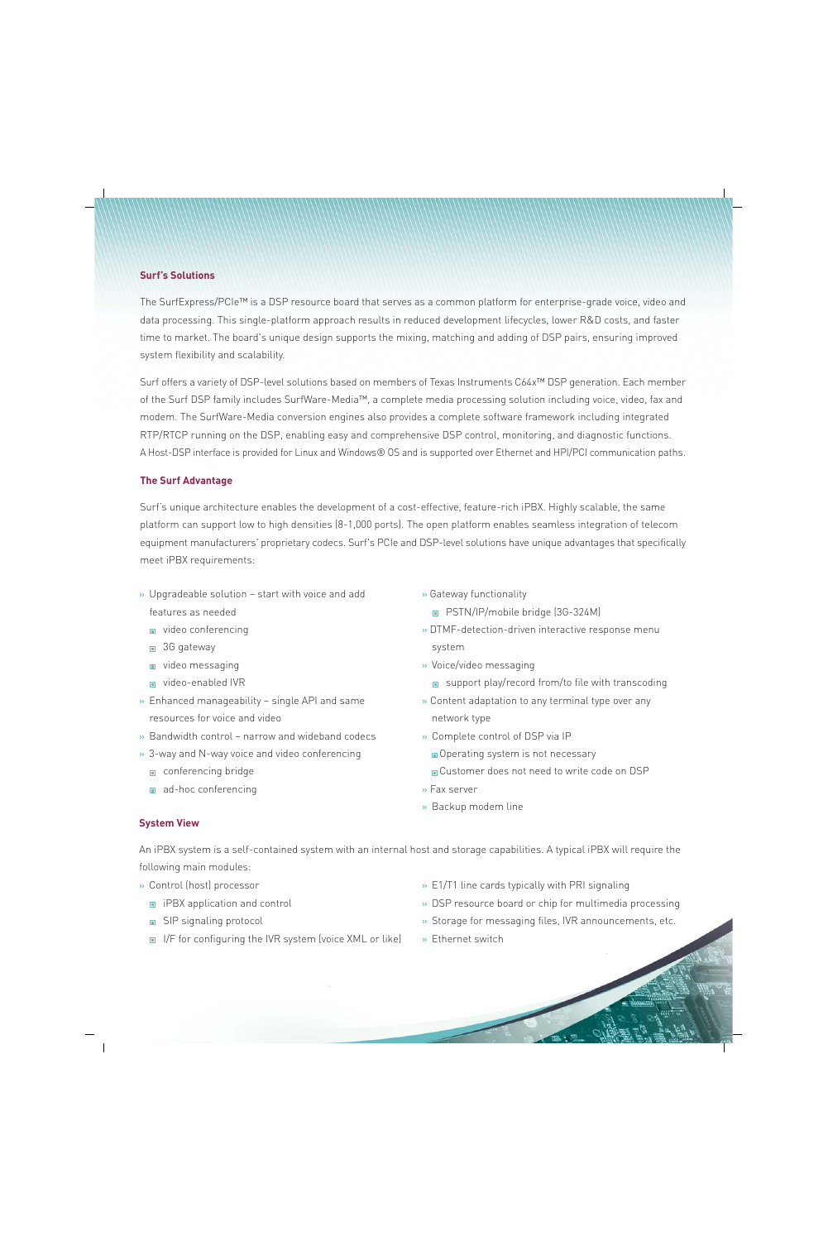#### **Surf's Solutions**

The SurfExpress/PCIe™ is a DSP resource board that serves as a common platform for enterprise-grade voice, video and data processing. This single-platform approach results in reduced development lifecycles, lower R&D costs, and faster time to market. The board's unique design supports the mixing, matching and adding of DSP pairs, ensuring improved system flexibility and scalability.

Surf offers a variety of DSP-level solutions based on members of Texas Instruments C64x™ DSP generation. Each member of the Surf DSP family includes SurfWare-Media™, a complete media processing solution including voice, video, fax and modem. The SurfWare-Media conversion engines also provides a complete software framework including integrated RTP/RTCP running on the DSP, enabling easy and comprehensive DSP control, monitoring, and diagnostic functions. A Host-DSP interface is provided for Linux and Windows® OS and is supported over Ethernet and HPI/PCI communication paths.

#### **The Surf Advantage**

Surf's unique architecture enables the development of a cost-effective, feature-rich iPBX. Highly scalable, the same <sup>p</sup>latform can support low to high densities (8-1,000 ports). The open platform enables seamless integration of telecom equipment manufacturers' proprietary codecs. Surf's PCIe and DSP-level solutions have unique advantages that specifically meet iPBX requirements:

- » Upgradeable solution start with voice and add features as needed
	- video conferencing
	- 3G gateway
	- video messaging
	- video-enabled IVR
- » Enhanced manageability single API and same resources for voice and video
- » Bandwidth control narrow and wideband codecs
- » 3-way and N-way voice and video conferencing
	- conferencing bridge
	- ad-hoc conferencing
- » Gateway functionality
	- PSTN/IP/mobile bridge (3G-324M)
- » DTMF-detection-driven interactive response menu system
- » Voice/video messaging
	- support play/record from/to file with transcoding
- » Content adaptation to any terminal type over any network type
- » Complete control of DSP via IP
	- Operating system is not necessary
	- Customer does not need to write code on DSP
- » Fax server
- » Backup modem line

### **System View**

An iPBX system is a self-contained system with an internal host and storage capabilities. A typical iPBX will require the following main modules:

- » Control (host) processor
	- **i** iPBX application and control
	- SIP signaling protocol
	- $\blacksquare$  I/F for configuring the IVR system (voice XML or like)
- » E1/T1 line cards typically with PRI signaling
- » DSP resource board or chip for multimedia processing
- » Storage for messaging files, IVR announcements, etc.
- » Ethernet switch